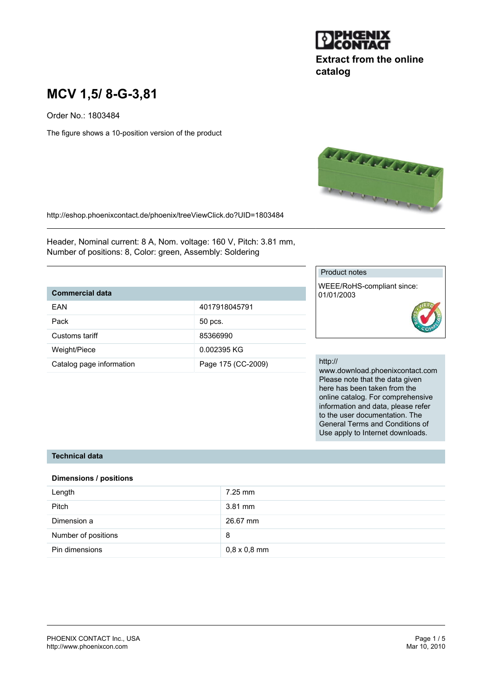

# **Extract from the online catalog**

# **MCV 1,5/ 8-G-3,81**

Order No.: 1803484

The figure shows a 10-position version of the product



http://eshop.phoenixcontact.de/phoenix/treeViewClick.do?UID=1803484

Header, Nominal current: 8 A, Nom. voltage: 160 V, Pitch: 3.81 mm, Number of positions: 8, Color: green, Assembly: Soldering

## **Commercial data**

| FAN                      | 4017918045791      |
|--------------------------|--------------------|
| Pack                     | 50 pcs.            |
| Customs tariff           | 85366990           |
| Weight/Piece             | 0.002395 KG        |
| Catalog page information | Page 175 (CC-2009) |

#### Product notes

WEEE/RoHS-compliant since: 01/01/2003

#### http://

www.download.phoenixcontact.com Please note that the data given here has been taken from the online catalog. For comprehensive information and data, please refer to the user documentation. The General Terms and Conditions of Use apply to Internet downloads.

#### **Technical data**

#### **Dimensions / positions**

| Length              | $7.25$ mm           |
|---------------------|---------------------|
| <b>Pitch</b>        | $3.81$ mm           |
| Dimension a         | 26.67 mm            |
| Number of positions | 8                   |
| Pin dimensions      | $0.8 \times 0.8$ mm |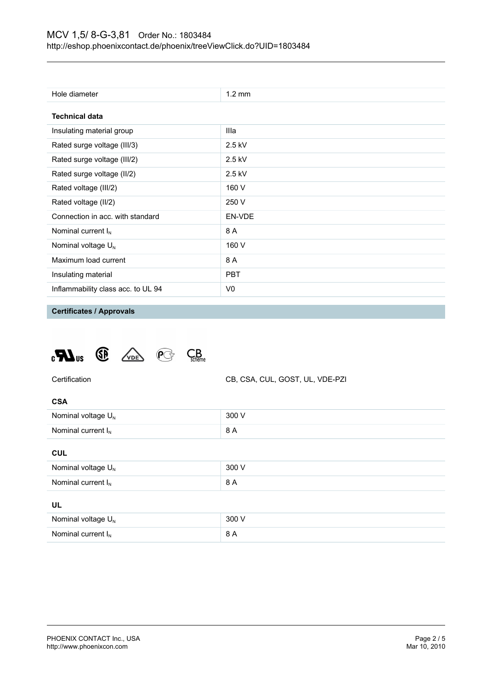| Hole diameter                      | $1.2 \text{ mm}$ |
|------------------------------------|------------------|
| <b>Technical data</b>              |                  |
| Insulating material group          | Illa             |
| Rated surge voltage (III/3)        | $2.5$ kV         |
| Rated surge voltage (III/2)        | $2.5$ kV         |
| Rated surge voltage (II/2)         | $2.5$ kV         |
| Rated voltage (III/2)              | 160 V            |
| Rated voltage (II/2)               | 250 V            |
| Connection in acc. with standard   | EN-VDE           |
| Nominal current $I_N$              | 8 A              |
| Nominal voltage $U_N$              | 160 V            |
| Maximum load current               | 8 A              |
| Insulating material                | <b>PBT</b>       |
| Inflammability class acc. to UL 94 | V0               |

**Certificates / Approvals**





| ۰.<br>× |  |
|---------|--|

| Nominal voltage $U_{N}$ | 300 V |
|-------------------------|-------|
| Nominal current $I_{N}$ | 8 A   |
|                         |       |

#### **CUL**

| Nominal voltage $U_N$ | 300 V |
|-----------------------|-------|
| Nominal current $I_N$ | 8 A   |
| UL                    |       |
| Nominal voltage $U_N$ | 300 V |
| Nominal current $I_N$ | 8 A   |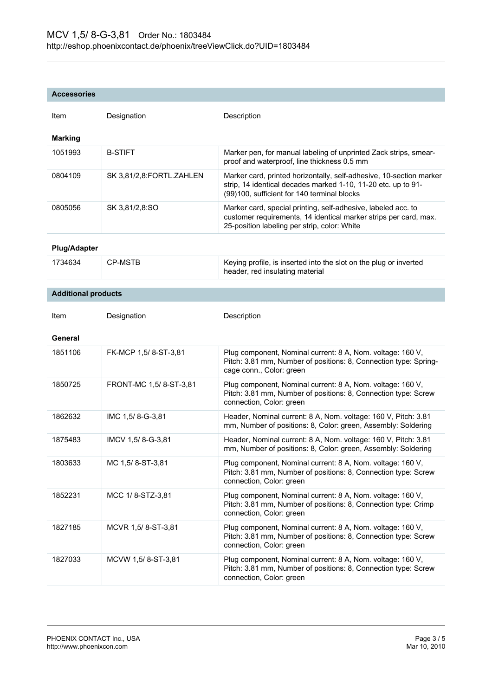#### **Accessories**

| Item                       | Designation              | Description                                                                                                                                                                         |
|----------------------------|--------------------------|-------------------------------------------------------------------------------------------------------------------------------------------------------------------------------------|
| <b>Marking</b>             |                          |                                                                                                                                                                                     |
| 1051993                    | <b>B-STIFT</b>           | Marker pen, for manual labeling of unprinted Zack strips, smear-<br>proof and waterproof, line thickness 0.5 mm                                                                     |
| 0804109                    | SK 3,81/2,8:FORTL.ZAHLEN | Marker card, printed horizontally, self-adhesive, 10-section marker<br>strip, 14 identical decades marked 1-10, 11-20 etc. up to 91-<br>(99)100, sufficient for 140 terminal blocks |
| 0805056                    | SK 3,81/2,8:SO           | Marker card, special printing, self-adhesive, labeled acc. to<br>customer requirements, 14 identical marker strips per card, max.<br>25-position labeling per strip, color: White   |
| <b>Plug/Adapter</b>        |                          |                                                                                                                                                                                     |
| 1734634                    | <b>CP-MSTB</b>           | Keying profile, is inserted into the slot on the plug or inverted<br>header, red insulating material                                                                                |
| <b>Additional products</b> |                          |                                                                                                                                                                                     |
|                            |                          |                                                                                                                                                                                     |
| Item                       | Designation              | Description                                                                                                                                                                         |
| General                    |                          |                                                                                                                                                                                     |
| 1851106                    | FK-MCP 1,5/8-ST-3,81     | Plug component, Nominal current: 8 A, Nom. voltage: 160 V,<br>Pitch: 3.81 mm, Number of positions: 8, Connection type: Spring-<br>cage conn., Color: green                          |
| 1850725                    | FRONT-MC 1,5/8-ST-3,81   | Plug component, Nominal current: 8 A, Nom. voltage: 160 V,<br>Pitch: 3.81 mm, Number of positions: 8, Connection type: Screw<br>connection, Color: green                            |
| 1862632                    | IMC 1,5/8--3,81          | Header, Nominal current: 8 A, Nom. voltage: 160 V, Pitch: 3.81<br>mm, Number of positions: 8, Color: green, Assembly: Soldering                                                     |
| 1875483                    | IMCV 1,5/8-G-3,81        | Header, Nominal current: 8 A, Nom. voltage: 160 V, Pitch: 3.81<br>mm, Number of positions: 8, Color: green, Assembly: Soldering                                                     |
| 1803633                    | MC 1,5/8-ST-3,81         | Plug component, Nominal current: 8 A, Nom. voltage: 160 V,<br>Pitch: 3.81 mm, Number of positions: 8, Connection type: Screw<br>connection, Color: green                            |
| 1852231                    | MCC 1/8-STZ-3,81         | Plug component, Nominal current: 8 A, Nom. voltage: 160 V,<br>Pitch: 3.81 mm, Number of positions: 8, Connection type: Crimp<br>connection, Color: green                            |
| 1827185                    | MCVR 1,5/8-ST-3,81       | Plug component, Nominal current: 8 A, Nom. voltage: 160 V,<br>Pitch: 3.81 mm, Number of positions: 8, Connection type: Screw<br>connection, Color: green                            |
| 1827033                    | MCVW 1,5/8-ST-3,81       | Plug component, Nominal current: 8 A, Nom. voltage: 160 V,<br>Pitch: 3.81 mm, Number of positions: 8, Connection type: Screw<br>connection, Color: green                            |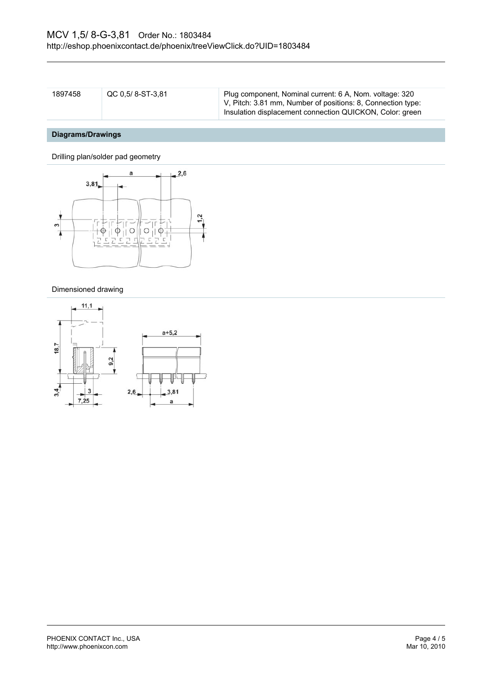| 1897458 | QC 0.5/8-ST-3.81 | Plug component, Nominal current: 6 A, Nom. voltage: 320     |
|---------|------------------|-------------------------------------------------------------|
|         |                  | V, Pitch: 3.81 mm, Number of positions: 8, Connection type: |
|         |                  | Insulation displacement connection QUICKON, Color: green    |

# **Diagrams/Drawings**

Drilling plan/solder pad geometry



#### Dimensioned drawing